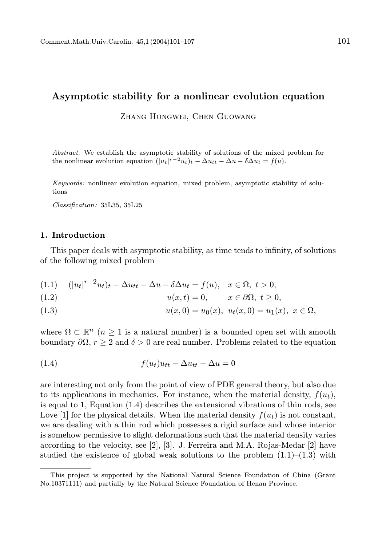## Asymptotic stability for a nonlinear evolution equation

Zhang Hongwei, Chen Guowang

Abstract. We establish the asymptotic stability of solutions of the mixed problem for the nonlinear evolution equation  $(|u_t|^{r-2}u_t)_t - \Delta u_{tt} - \Delta u - \delta \Delta u_t = f(u)$ .

Keywords: nonlinear evolution equation, mixed problem, asymptotic stability of solutions

Classification: 35L35, 35L25

## 1. Introduction

This paper deals with asymptotic stability, as time tends to infinity, of solutions of the following mixed problem

$$
(1.1) \quad (|u_t|^{r-2}u_t)_t - \Delta u_t - \Delta u - \delta \Delta u_t = f(u), \quad x \in \Omega, \ t > 0,
$$

(1.2) 
$$
u(x,t) = 0, \qquad x \in \partial\Omega, \ t \ge 0,
$$

(1.3) 
$$
u(x,0) = u_0(x), \ u_t(x,0) = u_1(x), \ x \in \Omega,
$$

where  $\Omega \subset \mathbb{R}^n$   $(n \geq 1$  is a natural number) is a bounded open set with smooth boundary  $\partial\Omega$ ,  $r \geq 2$  and  $\delta > 0$  are real number. Problems related to the equation

$$
(1.4) \t\t f(u_t)u_{tt} - \Delta u_{tt} - \Delta u = 0
$$

are interesting not only from the point of view of PDE general theory, but also due to its applications in mechanics. For instance, when the material density,  $f(u_t)$ , is equal to 1, Equation (1.4) describes the extensional vibrations of thin rods, see Love [1] for the physical details. When the material density  $f(u_t)$  is not constant, we are dealing with a thin rod which possesses a rigid surface and whose interior is somehow permissive to slight deformations such that the material density varies according to the velocity, see [2], [3]. J. Ferreira and M.A. Rojas-Medar [2] have studied the existence of global weak solutions to the problem  $(1.1)$ – $(1.3)$  with

This project is supported by the National Natural Science Foundation of China (Grant No.10371111) and partially by the Natural Science Foundation of Henan Province.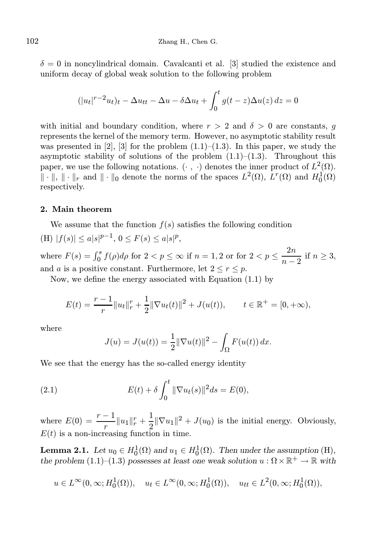$\delta = 0$  in noncylindrical domain. Cavalcanti et al. [3] studied the existence and uniform decay of global weak solution to the following problem

$$
(|u_t|^{r-2}u_t)_t - \Delta u_{tt} - \Delta u - \delta \Delta u_t + \int_0^t g(t-z)\Delta u(z)\,dz = 0
$$

with initial and boundary condition, where  $r > 2$  and  $\delta > 0$  are constants, q represents the kernel of the memory term. However, no asymptotic stability result was presented in [2], [3] for the problem  $(1.1)$ – $(1.3)$ . In this paper, we study the asymptotic stability of solutions of the problem  $(1.1)$ – $(1.3)$ . Throughout this paper, we use the following notations.  $(\cdot, \cdot)$  denotes the inner product of  $L^2(\Omega)$ .  $\|\cdot\|$ ,  $\|\cdot\|_r$  and  $\|\cdot\|_0$  denote the norms of the spaces  $L^2(\Omega)$ ,  $L^r(\Omega)$  and  $H_0^1(\Omega)$ respectively.

## 2. Main theorem

We assume that the function  $f(s)$  satisfies the following condition

(H) 
$$
|f(s)| \le a|s|^{p-1}, 0 \le F(s) \le a|s|^p
$$
,

where  $F(s) = \int_0^s f(\rho) d\rho$  for  $2 < p \le \infty$  if  $n = 1, 2$  or for  $2 < p \le \frac{2n}{n-1}$  $\frac{2n}{n-2}$  if  $n \geq 3$ , and a is a positive constant. Furthermore, let  $2 \le r \le p$ .

Now, we define the energy associated with Equation (1.1) by

$$
E(t) = \frac{r-1}{r} ||u_t||_r^r + \frac{1}{2} ||\nabla u_t(t)||^2 + J(u(t)), \qquad t \in \mathbb{R}^+ = [0, +\infty),
$$

where

$$
J(u) = J(u(t)) = \frac{1}{2} ||\nabla u(t)||^2 - \int_{\Omega} F(u(t)) dx.
$$

We see that the energy has the so-called energy identity

(2.1) 
$$
E(t) + \delta \int_0^t ||\nabla u_t(s)||^2 ds = E(0),
$$

where  $E(0) = \frac{r-1}{r} ||u_1||_r^r + \frac{1}{2}$  $\frac{1}{2} \|\nabla u_1\|^2 + J(u_0)$  is the initial energy. Obviously,  $E(t)$  is a non-increasing function in time.

**Lemma 2.1.** Let  $u_0 \in H_0^1(\Omega)$  and  $u_1 \in H_0^1(\Omega)$ . Then under the assumption (H), the problem (1.1)–(1.3) possesses at least one weak solution  $u : \Omega \times \mathbb{R}^+ \to \mathbb{R}$  with

$$
u \in L^{\infty}(0,\infty; H_0^1(\Omega)), \quad u_t \in L^{\infty}(0,\infty; H_0^1(\Omega)), \quad u_{tt} \in L^2(0,\infty; H_0^1(\Omega)),
$$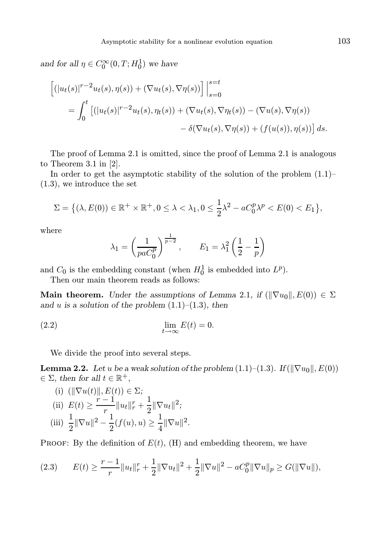and for all  $\eta \in C_0^{\infty}(0,T; H_0^1)$  we have

$$
\begin{aligned}\n\left[ \left( |u_t(s)|^{r-2} u_t(s), \eta(s) \right) + \left( \nabla u_t(s), \nabla \eta(s) \right) \right] \Big|_{s=0}^{s=t} \\
&= \int_0^t \left[ \left( |u_t(s)|^{r-2} u_t(s), \eta_t(s) \right) + \left( \nabla u_t(s), \nabla \eta_t(s) \right) - \left( \nabla u(s), \nabla \eta(s) \right) \right. \\
&\left. - \delta(\nabla u_t(s), \nabla \eta(s)) + \left( f(u(s)), \eta(s) \right) \right] ds.\n\end{aligned}
$$

The proof of Lemma 2.1 is omitted, since the proof of Lemma 2.1 is analogous to Theorem 3.1 in [2].

In order to get the asymptotic stability of the solution of the problem  $(1.1)$ – (1.3), we introduce the set

$$
\Sigma = \big\{ (\lambda, E(0)) \in \mathbb{R}^+ \times \mathbb{R}^+, 0 \le \lambda < \lambda_1, 0 \le \frac{1}{2} \lambda^2 - a C_0^p \lambda^p < E(0) < E_1 \big\},
$$

where

$$
\lambda_1 = \left(\frac{1}{paC_0^p}\right)^{\frac{1}{p-2}}, \qquad E_1 = \lambda_1^2 \left(\frac{1}{2} - \frac{1}{p}\right)
$$

and  $C_0$  is the embedding constant (when  $H_0^1$  is embedded into  $L^p$ ).

Then our main theorem reads as follows:

Main theorem. Under the assumptions of Lemma 2.1, if  $(\|\nabla u_0\|, E(0)) \in \Sigma$ and u is a solution of the problem  $(1.1)$ – $(1.3)$ , then

(2.2) 
$$
\lim_{t \to \infty} E(t) = 0.
$$

We divide the proof into several steps.

**Lemma 2.2.** Let u be a weak solution of the problem  $(1.1)$ – $(1.3)$ . If  $(\|\nabla u_0\|, E(0))$  $\in \Sigma$ , then for all  $t \in \mathbb{R}^+$ ,

.

(i) 
$$
(\|\nabla u(t)\|, E(t)) \in \Sigma;
$$
  
\n(ii)  $E(t) \ge \frac{r-1}{r} \|u_t\|_r^r + \frac{1}{2} \|\nabla u_t\|^2;$   
\n(iii)  $\frac{1}{2} \|\nabla u\|^2 - \frac{1}{2} (f(u), u) \ge \frac{1}{4} \|\nabla u\|^2$ 

PROOF: By the definition of  $E(t)$ , (H) and embedding theorem, we have

$$
(2.3) \tE(t) \geq \frac{r-1}{r} \|u_t\|_r^r + \frac{1}{2} \|\nabla u_t\|^2 + \frac{1}{2} \|\nabla u\|^2 - aC_0^p \|\nabla u\|_p \geq G(\|\nabla u\|),
$$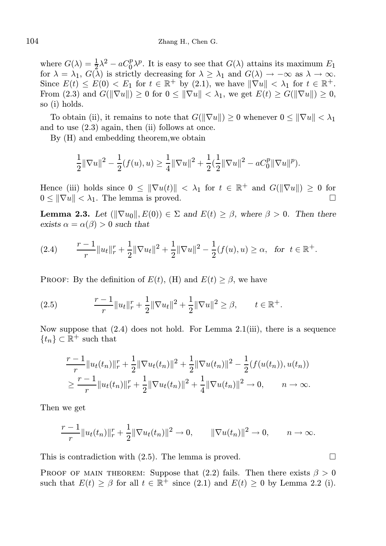where  $G(\lambda) = \frac{1}{2}\lambda^2 - aC_0^p\lambda^p$ . It is easy to see that  $G(\lambda)$  attains its maximum  $E_1$ for  $\lambda = \lambda_1$ ,  $G(\tilde{\lambda})$  is strictly decreasing for  $\lambda \geq \lambda_1$  and  $G(\lambda) \to -\infty$  as  $\lambda \to \infty$ . Since  $E(t) \leq E(0) < E_1$  for  $t \in \mathbb{R}^+$  by (2.1), we have  $\|\nabla u\| < \lambda_1$  for  $t \in \mathbb{R}^+$ . From (2.3) and  $G(\|\nabla u\|) \geq 0$  for  $0 \leq \|\nabla u\| < \lambda_1$ , we get  $E(t) \geq G(\|\nabla u\|) \geq 0$ , so (i) holds.

To obtain (ii), it remains to note that  $G(\|\nabla u\|) \geq 0$  whenever  $0 \leq \|\nabla u\| < \lambda_1$ and to use (2.3) again, then (ii) follows at once.

By (H) and embedding theorem,we obtain

$$
\frac{1}{2} \|\nabla u\|^2 - \frac{1}{2} (f(u), u) \ge \frac{1}{4} \|\nabla u\|^2 + \frac{1}{2} (\frac{1}{2} \|\nabla u\|^2 - aC_0^p \|\nabla u\|^p).
$$

Hence (iii) holds since  $0 \leq ||\nabla u(t)|| < \lambda_1$  for  $t \in \mathbb{R}^+$  and  $G(||\nabla u||) \geq 0$  for  $0 \le ||\nabla u|| < \lambda_1$ . The lemma is proved.

**Lemma 2.3.** Let  $(\|\nabla u_0\|, E(0)) \in \Sigma$  and  $E(t) \geq \beta$ , where  $\beta > 0$ . Then there exists  $\alpha = \alpha(\beta) > 0$  such that

$$
(2.4) \qquad \frac{r-1}{r}||u_t||_r^r + \frac{1}{2}||\nabla u_t||^2 + \frac{1}{2}||\nabla u||^2 - \frac{1}{2}(f(u), u) \ge \alpha, \text{ for } t \in \mathbb{R}^+.
$$

PROOF: By the definition of  $E(t)$ , (H) and  $E(t) \geq \beta$ , we have

(2.5) 
$$
\frac{r-1}{r} \|u_t\|_r^r + \frac{1}{2} \|\nabla u_t\|^2 + \frac{1}{2} \|\nabla u\|^2 \ge \beta, \qquad t \in \mathbb{R}^+.
$$

Now suppose that  $(2.4)$  does not hold. For Lemma  $2.1(iii)$ , there is a sequence  $\{t_n\} \subset \mathbb{R}^+$  such that

$$
\frac{r-1}{r}||u_t(t_n)||_r^r + \frac{1}{2}||\nabla u_t(t_n)||^2 + \frac{1}{2}||\nabla u(t_n)||^2 - \frac{1}{2}(f(u(t_n)), u(t_n))
$$
  
\n
$$
\geq \frac{r-1}{r}||u_t(t_n)||_r^r + \frac{1}{2}||\nabla u_t(t_n)||^2 + \frac{1}{4}||\nabla u(t_n)||^2 \to 0, \quad n \to \infty.
$$

Then we get

$$
\frac{r-1}{r}||u_t(t_n)||_r^r + \frac{1}{2}||\nabla u_t(t_n)||^2 \to 0, \qquad ||\nabla u(t_n)||^2 \to 0, \qquad n \to \infty.
$$

This is contradiction with  $(2.5)$ . The lemma is proved.

PROOF OF MAIN THEOREM: Suppose that (2.2) fails. Then there exists  $\beta > 0$ such that  $E(t) \geq \beta$  for all  $t \in \mathbb{R}^+$  since  $(2.1)$  and  $E(t) \geq 0$  by Lemma 2.2 (i).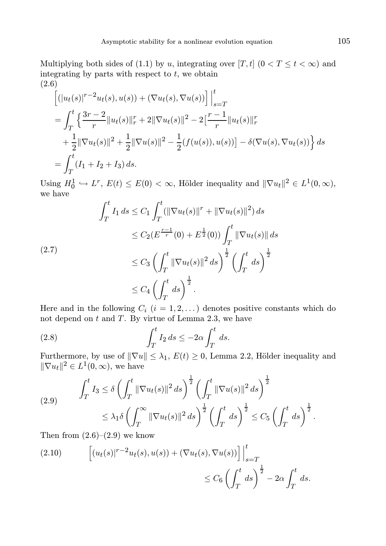Multiplying both sides of (1.1) by u, integrating over [T, t]  $(0 < T < t < \infty)$  and integrating by parts with respect to  $t$ , we obtain (2.6)

$$
\begin{aligned}\n&\left[ (|u_t(s)|^{r-2} u_t(s), u(s)) + (\nabla u_t(s), \nabla u(s)) \right] \Big|_{s=T}^t \\
&= \int_T^t \left\{ \frac{3r-2}{r} \|u_t(s)\|_r^r + 2\|\nabla u_t(s)\|^2 - 2\left[\frac{r-1}{r} \|u_t(s)\|_r^r \right. \\
&\left. + \frac{1}{2} \|\nabla u_t(s)\|^2 + \frac{1}{2} \|\nabla u(s)\|^2 - \frac{1}{2} (f(u(s)), u(s)) \right] - \delta(\nabla u(s), \nabla u_t(s)) \right\} ds \\
&= \int_T^t (I_1 + I_2 + I_3) ds.\n\end{aligned}
$$

Using  $H_0^1 \hookrightarrow L^r$ ,  $E(t) \leq E(0) < \infty$ , Hölder inequality and  $\|\nabla u_t\|^2 \in L^1(0, \infty)$ , we have

$$
\int_{T}^{t} I_{1} ds \leq C_{1} \int_{T}^{t} (\|\nabla u_{t}(s)\|^{r} + \|\nabla u_{t}(s)\|^{2}) ds
$$
  
\n
$$
\leq C_{2} (E^{\frac{r-1}{r}}(0) + E^{\frac{1}{2}}(0)) \int_{T}^{t} \|\nabla u_{t}(s)\| ds
$$
  
\n(2.7)  
\n
$$
\leq C_{3} \left( \int_{T}^{t} \|\nabla u_{t}(s)\|^{2} ds \right)^{\frac{1}{2}} \left( \int_{T}^{t} ds \right)^{\frac{1}{2}}
$$
  
\n
$$
\leq C_{4} \left( \int_{T}^{t} ds \right)^{\frac{1}{2}}.
$$

Here and in the following  $C_i$   $(i = 1, 2, ...)$  denotes positive constants which do not depend on  $t$  and  $T$ . By virtue of Lemma 2.3, we have

(2.8) 
$$
\int_T^t I_2 ds \le -2\alpha \int_T^t ds.
$$

Furthermore, by use of  $\|\nabla u\| \leq \lambda_1$ ,  $E(t) \geq 0$ , Lemma 2.2, Hölder inequality and  $\|\nabla u_t\|^2 \in L^1(0,\infty)$ , we have

(2.9) 
$$
\int_{T}^{t} I_{3} \leq \delta \left( \int_{T}^{t} \|\nabla u_{t}(s)\|^{2} ds \right)^{\frac{1}{2}} \left( \int_{T}^{t} \|\nabla u(s)\|^{2} ds \right)^{\frac{1}{2}} \leq \lambda_{1} \delta \left( \int_{T}^{\infty} \|\nabla u_{t}(s)\|^{2} ds \right)^{\frac{1}{2}} \left( \int_{T}^{t} ds \right)^{\frac{1}{2}} \leq C_{5} \left( \int_{T}^{t} ds \right)^{\frac{1}{2}}
$$

Then from  $(2.6)-(2.9)$  we know

(2.10) 
$$
\left[ (u_t(s)|^{r-2}u_t(s), u(s)) + (\nabla u_t(s), \nabla u(s)) \right] \Big|_{s=T}^t
$$

$$
\leq C_6 \left( \int_T^t ds \right)^{\frac{1}{2}} - 2\alpha \int_T^t ds.
$$

.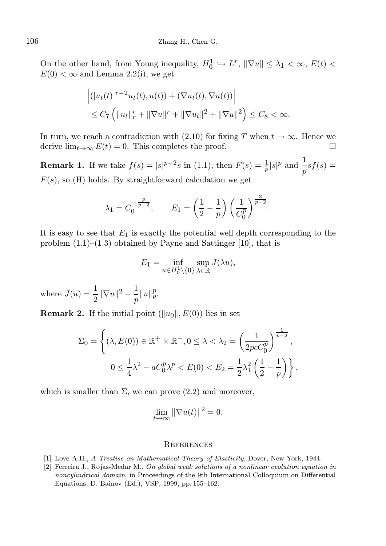On the other hand, from Young inequality,  $H_0^1 \hookrightarrow L^r$ ,  $\|\nabla u\| \leq \lambda_1 < \infty$ ,  $E(t) <$  $E(0) < \infty$  and Lemma 2.2(i), we get

$$
\left| (|u_t(t)|^{r-2} u_t(t), u(t)) + (\nabla u_t(t), \nabla u(t)) \right|
$$
  
\n
$$
\leq C_7 \left( \|u_t\|_{r}^{r} + \|\nabla u\|^{r} + \|\nabla u_t\|^{2} + \|\nabla u\|^{2} \right) \leq C_8 < \infty.
$$

In turn, we reach a contradiction with (2.10) for fixing T when  $t \to \infty$ . Hence we derive  $\lim_{t\to\infty} E(t) = 0$ . This completes the proof. □

**Remark 1.** If we take  $f(s) = |s|^{p-2} s$  in (1.1), then  $F(s) = \frac{1}{p}|s|^p$  and  $\frac{1}{p}sf(s) = \frac{1}{p}|s|^p$  $F(s)$ , so (H) holds. By straightforward calculation we get

$$
\lambda_1 = C_0^{-\frac{p}{p-2}}, \qquad E_1 = \left(\frac{1}{2} - \frac{1}{p}\right) \left(\frac{1}{C_0^p}\right)^{\frac{2}{p-2}}.
$$

It is easy to see that  $E_1$  is exactly the potential well depth corresponding to the problem  $(1.1)$ – $(1.3)$  obtained by Payne and Sattinger [10], that is

$$
E_1 = \inf_{u \in H_0^1 \setminus \{0\}} \sup_{\lambda \in \mathbb{R}} J(\lambda u),
$$

where  $J(u) = \frac{1}{2} ||\nabla u||^2 - \frac{1}{p}$  $\frac{1}{p} \|u\|_p^p.$ 

**Remark 2.** If the initial point  $(\|u_0\|, E(0))$  lies in set

$$
\Sigma_0 = \left\{ (\lambda, E(0)) \in \mathbb{R}^+ \times \mathbb{R}^+, 0 \le \lambda < \lambda_2 = \left(\frac{1}{2pcC_0^p}\right)^{\frac{1}{p-2}}, 0 \le \frac{1}{4}\lambda^2 - aC_0^p \lambda^p < E(0) < E_2 = \frac{1}{2}\lambda_1^2 \left(\frac{1}{2} - \frac{1}{p}\right) \right\},
$$

which is smaller than  $\Sigma$ , we can prove  $(2.2)$  and moreover,

$$
\lim_{t \to \infty} \|\nabla u(t)\|^2 = 0.
$$

## **REFERENCES**

- [1] Love A.H., A Treatise on Mathematical Theory of Elasticity, Dover, New York, 1944.
- [2] Ferreira J., Rojas-Medar M., On global weak solutions of a nonlinear evolution equation in noncylindrical domain, in Proceedings of the 9th International Colloquium on Differential Equations, D. Bainov (Ed.), VSP, 1999, pp. 155–162.